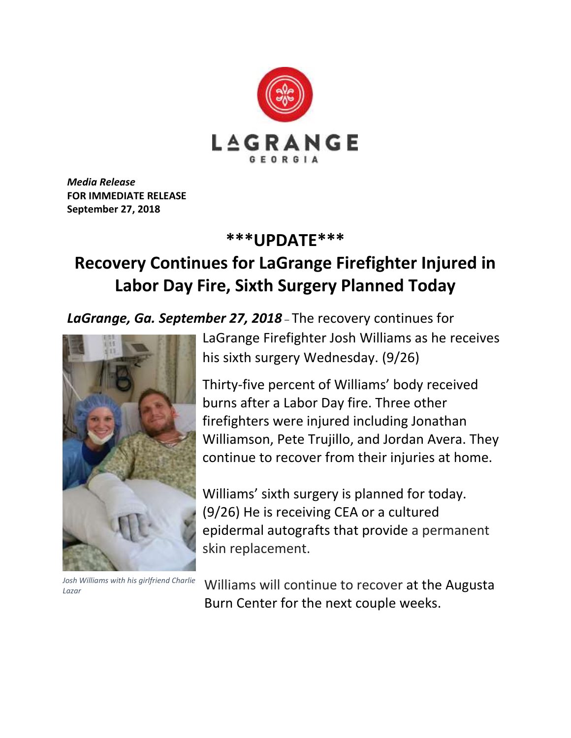

*Media Release* **FOR IMMEDIATE RELEASE September 27, 2018**

## **\*\*\*UPDATE\*\*\***

## **Recovery Continues for LaGrange Firefighter Injured in Labor Day Fire, Sixth Surgery Planned Today**

*LaGrange, Ga. September 27, 2018* – The recovery continues for



*Josh Williams with his girlfriend Charlie Lazar*

LaGrange Firefighter Josh Williams as he receives his sixth surgery Wednesday. (9/26)

Thirty-five percent of Williams' body received burns after a Labor Day fire. Three other firefighters were injured including Jonathan Williamson, Pete Trujillo, and Jordan Avera. They continue to recover from their injuries at home.

Williams' sixth surgery is planned for today. (9/26) He is receiving CEA or a cultured epidermal autografts that provide a permanent skin replacement.

Williams will continue to recover at the Augusta Burn Center for the next couple weeks.